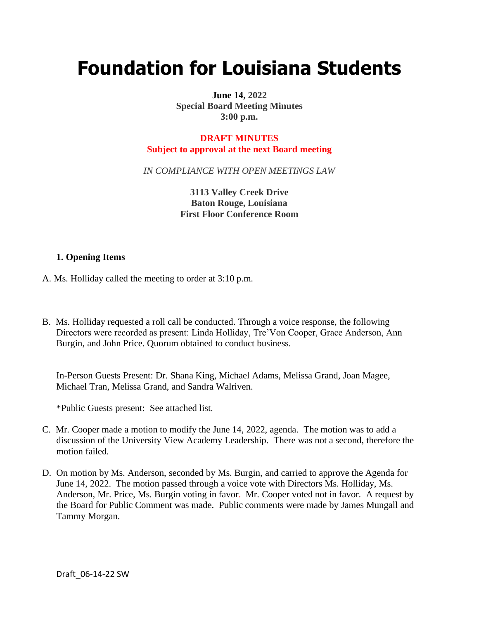# **Foundation for Louisiana Students**

**June 14, 2022 Special Board Meeting Minutes 3:00 p.m.**

## **DRAFT MINUTES Subject to approval at the next Board meeting**

*IN COMPLIANCE WITH OPEN MEETINGS LAW*

**3113 Valley Creek Drive Baton Rouge, Louisiana First Floor Conference Room**

# **1. Opening Items**

- A. Ms. Holliday called the meeting to order at 3:10 p.m.
- B. Ms. Holliday requested a roll call be conducted. Through a voice response, the following Directors were recorded as present: Linda Holliday, Tre'Von Cooper, Grace Anderson, Ann Burgin, and John Price. Quorum obtained to conduct business.

In-Person Guests Present: Dr. Shana King, Michael Adams, Melissa Grand, Joan Magee, Michael Tran, Melissa Grand, and Sandra Walriven.

\*Public Guests present: See attached list.

- C. Mr. Cooper made a motion to modify the June 14, 2022, agenda. The motion was to add a discussion of the University View Academy Leadership. There was not a second, therefore the motion failed.
- D. On motion by Ms. Anderson, seconded by Ms. Burgin, and carried to approve the Agenda for June 14, 2022. The motion passed through a voice vote with Directors Ms. Holliday, Ms. Anderson, Mr. Price, Ms. Burgin voting in favor. Mr. Cooper voted not in favor. A request by the Board for Public Comment was made. Public comments were made by James Mungall and Tammy Morgan.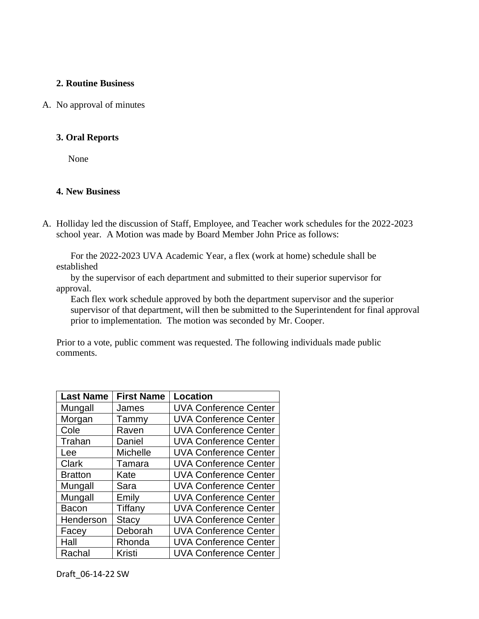## **2. Routine Business**

#### A. No approval of minutes

#### **3. Oral Reports**

None

## **4. New Business**

A. Holliday led the discussion of Staff, Employee, and Teacher work schedules for the 2022-2023 school year. A Motion was made by Board Member John Price as follows:

 For the 2022-2023 UVA Academic Year, a flex (work at home) schedule shall be established

 by the supervisor of each department and submitted to their superior supervisor for approval.

 Each flex work schedule approved by both the department supervisor and the superior supervisor of that department, will then be submitted to the Superintendent for final approval prior to implementation. The motion was seconded by Mr. Cooper.

 Prior to a vote, public comment was requested. The following individuals made public comments.

| <b>Last Name</b> | <b>First Name</b> | Location                     |
|------------------|-------------------|------------------------------|
| Mungall          | James             | <b>UVA Conference Center</b> |
| Morgan           | Tammy             | <b>UVA Conference Center</b> |
| Cole             | Raven             | <b>UVA Conference Center</b> |
| Trahan           | Daniel            | <b>UVA Conference Center</b> |
| Lee              | Michelle          | <b>UVA Conference Center</b> |
| <b>Clark</b>     | Tamara            | <b>UVA Conference Center</b> |
| <b>Bratton</b>   | Kate              | <b>UVA Conference Center</b> |
| Mungall          | Sara              | <b>UVA Conference Center</b> |
| Mungall          | Emily             | <b>UVA Conference Center</b> |
| <b>Bacon</b>     | Tiffany           | <b>UVA Conference Center</b> |
| Henderson        | <b>Stacy</b>      | <b>UVA Conference Center</b> |
| Facey            | Deborah           | <b>UVA Conference Center</b> |
| Hall             | Rhonda            | <b>UVA Conference Center</b> |
| Rachal           | Kristi            | <b>UVA Conference Center</b> |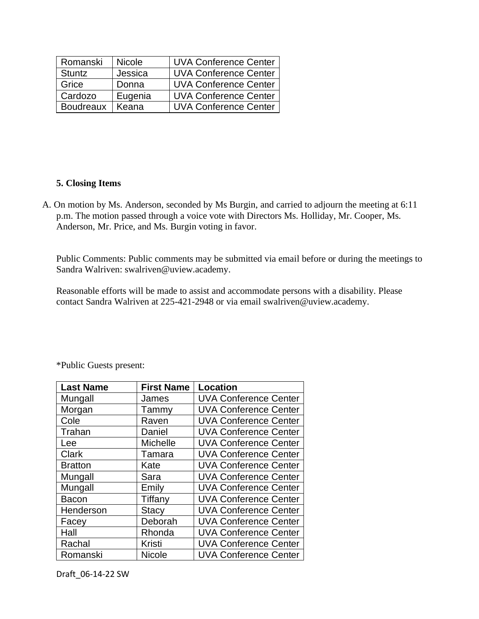| Romanski         | <b>Nicole</b> | <b>UVA Conference Center</b> |
|------------------|---------------|------------------------------|
| Stuntz           | Jessica       | <b>UVA Conference Center</b> |
| Grice            | Donna         | <b>UVA Conference Center</b> |
| Cardozo          | Eugenia       | <b>UVA Conference Center</b> |
| <b>Boudreaux</b> | Keana         | <b>UVA Conference Center</b> |

# **5. Closing Items**

A. On motion by Ms. Anderson, seconded by Ms Burgin, and carried to adjourn the meeting at 6:11 p.m. The motion passed through a voice vote with Directors Ms. Holliday, Mr. Cooper, Ms. Anderson, Mr. Price, and Ms. Burgin voting in favor.

Public Comments: Public comments may be submitted via email before or during the meetings to Sandra Walriven: swalriven@uview.academy.

Reasonable efforts will be made to assist and accommodate persons with a disability. Please contact Sandra Walriven at 225-421-2948 or via email swalriven@uview.academy.

| <b>Last Name</b> | <b>First Name</b> | <b>Location</b>              |
|------------------|-------------------|------------------------------|
| Mungall          | James             | <b>UVA Conference Center</b> |
| Morgan           | Tammy             | <b>UVA Conference Center</b> |
| Cole             | Raven             | <b>UVA Conference Center</b> |
| Trahan           | Daniel            | <b>UVA Conference Center</b> |
| Lee              | Michelle          | <b>UVA Conference Center</b> |
| <b>Clark</b>     | Tamara            | <b>UVA Conference Center</b> |
| <b>Bratton</b>   | Kate              | <b>UVA Conference Center</b> |
| Mungall          | Sara              | <b>UVA Conference Center</b> |
| Mungall          | Emily             | <b>UVA Conference Center</b> |
| Bacon            | Tiffany           | <b>UVA Conference Center</b> |
| Henderson        | <b>Stacy</b>      | <b>UVA Conference Center</b> |
| Facey            | Deborah           | <b>UVA Conference Center</b> |
| Hall             | Rhonda            | <b>UVA Conference Center</b> |
| Rachal           | Kristi            | <b>UVA Conference Center</b> |
| Romanski         | <b>Nicole</b>     | <b>UVA Conference Center</b> |

\*Public Guests present:

Draft\_06-14-22 SW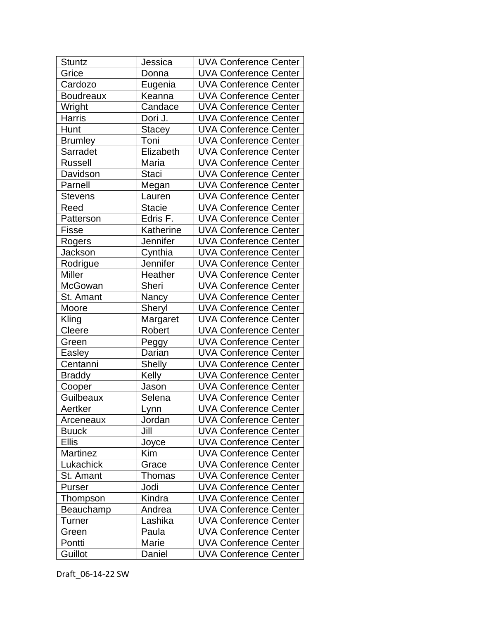| <b>Stuntz</b>    | Jessica       | <b>UVA Conference Center</b> |
|------------------|---------------|------------------------------|
| Grice            | Donna         | <b>UVA Conference Center</b> |
| Cardozo          | Eugenia       | <b>UVA Conference Center</b> |
| <b>Boudreaux</b> | Keanna        | <b>UVA Conference Center</b> |
| Wright           | Candace       | <b>UVA Conference Center</b> |
| <b>Harris</b>    | Dori J.       | <b>UVA Conference Center</b> |
| Hunt             | <b>Stacey</b> | <b>UVA Conference Center</b> |
| <b>Brumley</b>   | Toni          | <b>UVA Conference Center</b> |
| Sarradet         | Elizabeth     | <b>UVA Conference Center</b> |
| <b>Russell</b>   | Maria         | <b>UVA Conference Center</b> |
| Davidson         | <b>Staci</b>  | <b>UVA Conference Center</b> |
| Parnell          | Megan         | <b>UVA Conference Center</b> |
| <b>Stevens</b>   | Lauren        | <b>UVA Conference Center</b> |
| Reed             | <b>Stacie</b> | <b>UVA Conference Center</b> |
| Patterson        | Edris F.      | <b>UVA Conference Center</b> |
| <b>Fisse</b>     | Katherine     | <b>UVA Conference Center</b> |
| Rogers           | Jennifer      | <b>UVA Conference Center</b> |
| Jackson          | Cynthia       | <b>UVA Conference Center</b> |
| Rodrigue         | Jennifer      | <b>UVA Conference Center</b> |
| <b>Miller</b>    | Heather       | <b>UVA Conference Center</b> |
| McGowan          | Sheri         | <b>UVA Conference Center</b> |
| St. Amant        | Nancy         | <b>UVA Conference Center</b> |
| Moore            | Sheryl        | <b>UVA Conference Center</b> |
| Kling            | Margaret      | <b>UVA Conference Center</b> |
| Cleere           | Robert        | <b>UVA Conference Center</b> |
| Green            | Peggy         | <b>UVA Conference Center</b> |
| Easley           | Darian        | <b>UVA Conference Center</b> |
| Centanni         | <b>Shelly</b> | <b>UVA Conference Center</b> |
| <b>Braddy</b>    | Kelly         | <b>UVA Conference Center</b> |
| Cooper           | Jason         | <b>UVA Conference Center</b> |
| Guilbeaux        | Selena        | <b>UVA Conference Center</b> |
| Aertker          | Lynn          | <b>UVA Conference Center</b> |
| Arceneaux        | Jordan        | <b>UVA Conference Center</b> |
| <b>Buuck</b>     | Jill          | <b>UVA Conference Center</b> |
| <b>Ellis</b>     | Joyce         | <b>UVA Conference Center</b> |
| Martinez         | Kim           | <b>UVA Conference Center</b> |
| Lukachick        | Grace         | <b>UVA Conference Center</b> |
| St. Amant        | Thomas        | <b>UVA Conference Center</b> |
| Purser           | Jodi          | <b>UVA Conference Center</b> |
| Thompson         | Kindra        | <b>UVA Conference Center</b> |
| Beauchamp        | Andrea        | <b>UVA Conference Center</b> |
| Turner           | Lashika       | <b>UVA Conference Center</b> |
| Green            | Paula         | <b>UVA Conference Center</b> |
| Pontti           | Marie         | <b>UVA Conference Center</b> |
| Guillot          | Daniel        | <b>UVA Conference Center</b> |

Draft\_06-14-22 SW